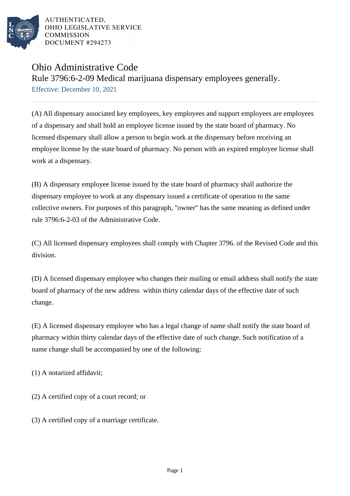

AUTHENTICATED. OHIO LEGISLATIVE SERVICE **COMMISSION** DOCUMENT #294273

## Ohio Administrative Code

Rule 3796:6-2-09 Medical marijuana dispensary employees generally. Effective: December 10, 2021

(A) All dispensary associated key employees, key employees and support employees are employees of a dispensary and shall hold an employee license issued by the state board of pharmacy. No licensed dispensary shall allow a person to begin work at the dispensary before receiving an employee license by the state board of pharmacy. No person with an expired employee license shall work at a dispensary.

(B) A dispensary employee license issued by the state board of pharmacy shall authorize the dispensary employee to work at any dispensary issued a certificate of operation to the same collective owners. For purposes of this paragraph, "owner" has the same meaning as defined under rule 3796:6-2-03 of the Administrative Code.

(C) All licensed dispensary employees shall comply with Chapter 3796. of the Revised Code and this division.

(D) A licensed dispensary employee who changes their mailing or email address shall notify the state board of pharmacy of the new address within thirty calendar days of the effective date of such change.

(E) A licensed dispensary employee who has a legal change of name shall notify the state board of pharmacy within thirty calendar days of the effective date of such change. Such notification of a name change shall be accompanied by one of the following:

(1) A notarized affidavit;

(2) A certified copy of a court record; or

(3) A certified copy of a marriage certificate.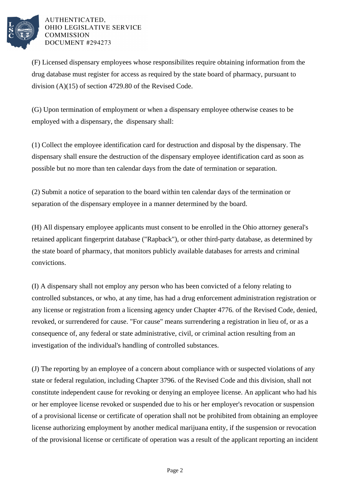

AUTHENTICATED, OHIO LEGISLATIVE SERVICE **COMMISSION** DOCUMENT #294273

(F) Licensed dispensary employees whose responsibilites require obtaining information from the drug database must register for access as required by the state board of pharmacy, pursuant to division (A)(15) of section 4729.80 of the Revised Code.

(G) Upon termination of employment or when a dispensary employee otherwise ceases to be employed with a dispensary, the dispensary shall:

(1) Collect the employee identification card for destruction and disposal by the dispensary. The dispensary shall ensure the destruction of the dispensary employee identification card as soon as possible but no more than ten calendar days from the date of termination or separation.

(2) Submit a notice of separation to the board within ten calendar days of the termination or separation of the dispensary employee in a manner determined by the board.

(H) All dispensary employee applicants must consent to be enrolled in the Ohio attorney general's retained applicant fingerprint database ("Rapback"), or other third-party database, as determined by the state board of pharmacy, that monitors publicly available databases for arrests and criminal convictions.

(I) A dispensary shall not employ any person who has been convicted of a felony relating to controlled substances, or who, at any time, has had a drug enforcement administration registration or any license or registration from a licensing agency under Chapter 4776. of the Revised Code, denied, revoked, or surrendered for cause. "For cause" means surrendering a registration in lieu of, or as a consequence of, any federal or state administrative, civil, or criminal action resulting from an investigation of the individual's handling of controlled substances.

(J) The reporting by an employee of a concern about compliance with or suspected violations of any state or federal regulation, including Chapter 3796. of the Revised Code and this division, shall not constitute independent cause for revoking or denying an employee license. An applicant who had his or her employee license revoked or suspended due to his or her employer's revocation or suspension of a provisional license or certificate of operation shall not be prohibited from obtaining an employee license authorizing employment by another medical marijuana entity, if the suspension or revocation of the provisional license or certificate of operation was a result of the applicant reporting an incident